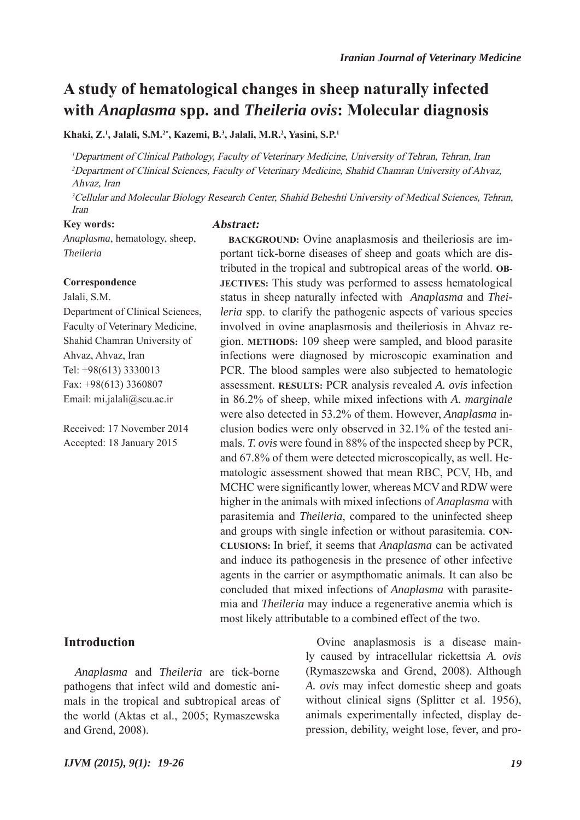# **A study of hematological changes in sheep naturally infected with** *Anaplasma* **spp. and** *Theileria ovis***: Molecular diagnosis**

**Khaki, Z.1 , Jalali, S.M.2\*, Kazemi, B.3 , Jalali, M.R.2 , Yasini, S.P.1**

<sup>1</sup>Department of Clinical Pathology, Faculty of Veterinary Medicine, University of Tehran, Tehran, Iran <sup>2</sup>Department of Clinical Sciences, Faculty of Veterinary Medicine, Shahid Chamran University of Ahvaz, Ahvaz, Iran

<sup>3</sup>Cellular and Molecular Biology Research Center, Shahid Beheshti University of Medical Sciences, Tehran, Iran

#### **Key words:**

**Abstract:**

*Anaplasma*, hematology, sheep, *Theileria*

#### **Correspondence**

Jalali, S.M. Department of Clinical Sciences, Faculty of Veterinary Medicine, Shahid Chamran University of Ahvaz, Ahvaz, Iran Tel: +98(613) 3330013 Fax: +98(613) 3360807 Email: mi.jalali@scu.ac.ir

Received: 17 November 2014 Accepted: 18 January 2015

## **Introduction**

*Anaplasma* and *Theileria* are tick-borne pathogens that infect wild and domestic animals in the tropical and subtropical areas of the world (Aktas et al., 2005; Rymaszewska and Grend, 2008).

**BACKGROUND:** Ovine anaplasmosis and theileriosis are important tick-borne diseases of sheep and goats which are distributed in the tropical and subtropical areas of the world. **OB-JECTIVES:** This study was performed to assess hematological status in sheep naturally infected with *Anaplasma* and *Theileria* spp. to clarify the pathogenic aspects of various species involved in ovine anaplasmosis and theileriosis in Ahvaz region. **METHODS:** 109 sheep were sampled, and blood parasite infections were diagnosed by microscopic examination and PCR. The blood samples were also subjected to hematologic assessment. **RESULTS:** PCR analysis revealed *A. ovis* infection in 86.2% of sheep, while mixed infections with *A. marginale* were also detected in 53.2% of them. However, *Anaplasma* inclusion bodies were only observed in 32.1% of the tested animals. *T. ovis* were found in 88% of the inspected sheep by PCR, and 67.8% of them were detected microscopically, as well. Hematologic assessment showed that mean RBC, PCV, Hb, and MCHC were significantly lower, whereas MCV and RDW were higher in the animals with mixed infections of *Anaplasma* with parasitemia and *Theileria*, compared to the uninfected sheep and groups with single infection or without parasitemia. **CON-CLUSIONS:** In brief, it seems that *Anaplasma* can be activated and induce its pathogenesis in the presence of other infective agents in the carrier or asympthomatic animals. It can also be concluded that mixed infections of *Anaplasma* with parasitemia and *Theileria* may induce a regenerative anemia which is most likely attributable to a combined effect of the two.

> Ovine anaplasmosis is a disease mainly caused by intracellular rickettsia *A. ovis* (Rymaszewska and Grend, 2008). Although *A. ovis* may infect domestic sheep and goats without clinical signs (Splitter et al. 1956), animals experimentally infected, display depression, debility, weight lose, fever, and pro-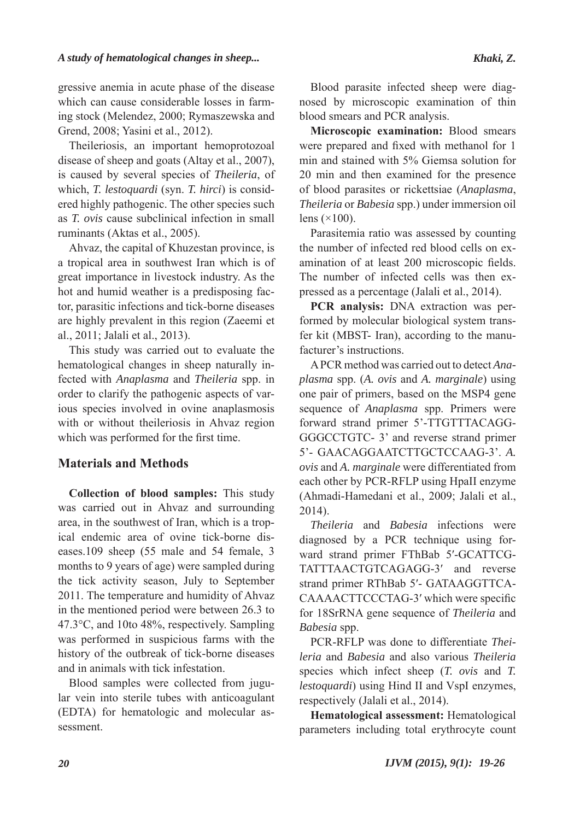gressive anemia in acute phase of the disease which can cause considerable losses in farming stock (Melendez, 2000; Rymaszewska and Grend, 2008; Yasini et al., 2012).

Theileriosis, an important hemoprotozoal disease of sheep and goats (Altay et al., 2007), is caused by several species of *Theileria*, of which, *T. lestoquardi* (syn. *T. hirci*) is considered highly pathogenic. The other species such as *T. ovis* cause subclinical infection in small ruminants (Aktas et al., 2005).

Ahvaz, the capital of Khuzestan province, is a tropical area in southwest Iran which is of great importance in livestock industry. As the hot and humid weather is a predisposing factor, parasitic infections and tick-borne diseases are highly prevalent in this region (Zaeemi et al., 2011; Jalali et al., 2013).

This study was carried out to evaluate the hematological changes in sheep naturally infected with *Anaplasma* and *Theileria* spp. in order to clarify the pathogenic aspects of various species involved in ovine anaplasmosis with or without theileriosis in Ahvaz region which was performed for the first time.

# **Materials and Methods**

**Collection of blood samples:** This study was carried out in Ahvaz and surrounding area, in the southwest of Iran, which is a tropical endemic area of ovine tick-borne diseases.109 sheep (55 male and 54 female, 3 months to 9 years of age) were sampled during the tick activity season, July to September 2011. The temperature and humidity of Ahvaz in the mentioned period were between 26.3 to 47.3°C, and 10to 48%, respectively. Sampling was performed in suspicious farms with the history of the outbreak of tick-borne diseases and in animals with tick infestation.

Blood samples were collected from jugular vein into sterile tubes with anticoagulant (EDTA) for hematologic and molecular assessment.

Blood parasite infected sheep were diagnosed by microscopic examination of thin blood smears and PCR analysis.

**Microscopic examination:** Blood smears were prepared and fixed with methanol for 1 min and stained with 5% Giemsa solution for 20 min and then examined for the presence of blood parasites or rickettsiae (*Anaplasma*, *Theileria* or *Babesia* spp.) under immersion oil lens  $(\times 100)$ .

Parasitemia ratio was assessed by counting the number of infected red blood cells on examination of at least 200 microscopic fields. The number of infected cells was then expressed as a percentage (Jalali et al., 2014).

**PCR analysis:** DNA extraction was performed by molecular biological system transfer kit (MBST- Iran), according to the manufacturer's instructions.

A PCR method was carried out to detect *Anaplasma* spp. (*A. ovis* and *A. marginale*) using one pair of primers, based on the MSP4 gene sequence of *Anaplasma* spp. Primers were forward strand primer 5'-TTGTTTACAGG-GGGCCTGTC- 3' and reverse strand primer 5'- GAACAGGAATCTTGCTCCAAG-3'. *A. ovis* and *A. marginale* were differentiated from each other by PCR-RFLP using HpaII enzyme (Ahmadi-Hamedani et al., 2009; Jalali et al., 2014).

*Theileria* and *Babesia* infections were diagnosed by a PCR technique using forward strand primer FThBab 5′-GCATTCG-TATTTAACTGTCAGAGG-3′ and reverse strand primer RThBab 5′- GATAAGGTTCA-CAAAACTTCCCTAG-3′ which were specific for 18SrRNA gene sequence of *Theileria* and *Babesia* spp.

PCR-RFLP was done to differentiate *Theileria* and *Babesia* and also various *Theileria* species which infect sheep (*T. ovis* and *T. lestoquardi*) using Hind II and VspI enzymes, respectively (Jalali et al., 2014).

**Hematological assessment:** Hematological parameters including total erythrocyte count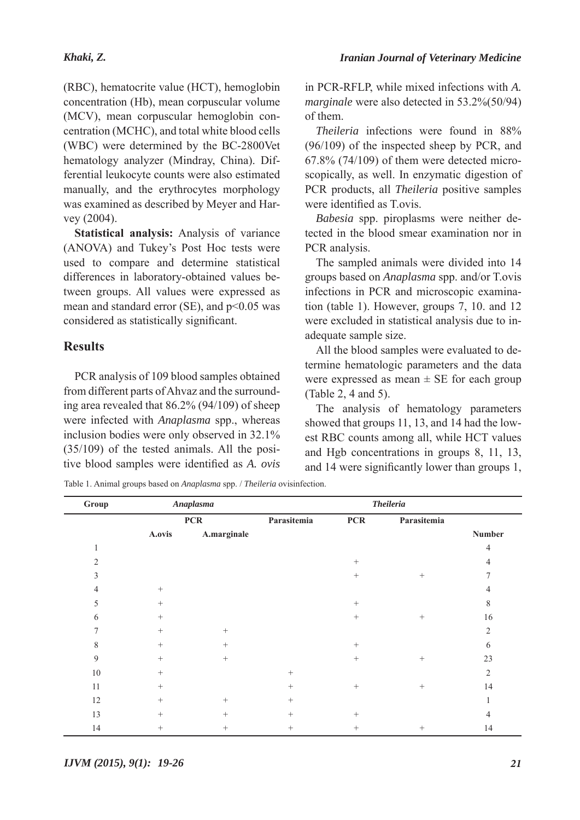(RBC), hematocrite value (HCT), hemoglobin concentration (Hb), mean corpuscular volume (MCV), mean corpuscular hemoglobin concentration (MCHC), and total white blood cells (WBC) were determined by the BC-2800Vet hematology analyzer (Mindray, China). Differential leukocyte counts were also estimated manually, and the erythrocytes morphology was examined as described by Meyer and Harvey (2004).

**Statistical analysis:** Analysis of variance (ANOVA) and Tukey's Post Hoc tests were used to compare and determine statistical differences in laboratory-obtained values between groups. All values were expressed as mean and standard error (SE), and p<0.05 was considered as statistically significant.

## **Results**

PCR analysis of 109 blood samples obtained from different parts of Ahvaz and the surrounding area revealed that 86.2% (94/109) of sheep were infected with *Anaplasma* spp., whereas inclusion bodies were only observed in 32.1% (35/109) of the tested animals. All the positive blood samples were identified as *A. ovis*

in PCR-RFLP, while mixed infections with *A. marginale* were also detected in 53.2%(50/94) of them.

*Theileria* infections were found in 88% (96/109) of the inspected sheep by PCR, and 67.8% (74/109) of them were detected microscopically, as well. In enzymatic digestion of PCR products, all *Theileria* positive samples were identified as T.ovis.

*Babesia* spp. piroplasms were neither detected in the blood smear examination nor in PCR analysis.

The sampled animals were divided into 14 groups based on *Anaplasma* spp. and/or T.ovis infections in PCR and microscopic examination (table 1). However, groups 7, 10. and 12 were excluded in statistical analysis due to inadequate sample size.

All the blood samples were evaluated to determine hematologic parameters and the data were expressed as mean  $\pm$  SE for each group (Table 2, 4 and 5).

The analysis of hematology parameters showed that groups 11, 13, and 14 had the lowest RBC counts among all, while HCT values and Hgb concentrations in groups 8, 11, 13, and 14 were significantly lower than groups 1,

Table 1. Animal groups based on *Anaplasma* spp. / *Theileria* ovisinfection.

| Group          | <b>Anaplasma</b><br><b>PCR</b> |                  | <b>Theileria</b> |                 |                 |                |  |
|----------------|--------------------------------|------------------|------------------|-----------------|-----------------|----------------|--|
|                |                                |                  | Parasitemia      | <b>PCR</b>      | Parasitemia     |                |  |
|                | A.ovis                         | A.marginale      |                  |                 |                 | Number         |  |
|                |                                |                  |                  |                 |                 | 4              |  |
| $\overline{2}$ |                                |                  |                  | $^{+}$          |                 | 4              |  |
| 3              |                                |                  |                  | $\! + \!\!\!\!$ |                 | 7              |  |
| 4              | $^{+}$                         |                  |                  |                 |                 | 4              |  |
| 5              | $+$                            |                  |                  | $\! + \!\!\!\!$ |                 | $\,$ 8 $\,$    |  |
| 6              | $^{+}$                         |                  |                  | $+$             | $\! + \!\!\!\!$ | 16             |  |
| 7              | $^{+}$                         |                  |                  |                 |                 | $\overline{2}$ |  |
| 8              | $+$                            |                  |                  | $+$             |                 | 6              |  |
| 9              | $+$                            | $\boldsymbol{+}$ |                  | $\! + \!\!\!\!$ |                 | 23             |  |
| $10\,$         | $+$                            |                  | $^{+}$           |                 |                 | $\overline{2}$ |  |
| 11             | $^{+}$                         |                  | $^{+}$           | $\! + \!\!\!\!$ |                 | 14             |  |
| 12             | $+$                            | $+$              | $^{+}$           |                 |                 |                |  |
| 13             | $^{+}$                         | $^{+}$           | $^{+}$           | $^{+}$          |                 | 4              |  |
| 14             | $^{+}$                         | $^{+}$           | $^{+}$           | $\! + \!\!\!\!$ | $^{+}$          | 14             |  |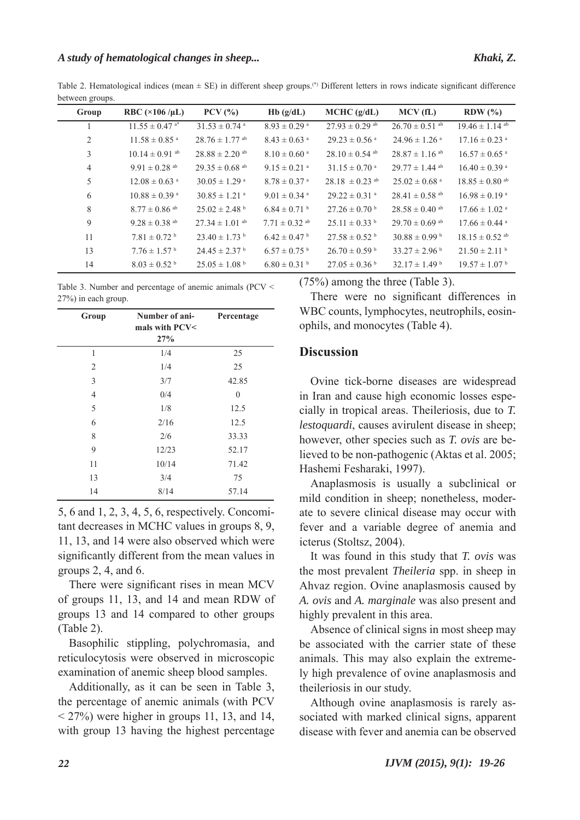Table 2. Hematological indices (mean  $\pm$  SE) in different sheep groups.<sup>(\*)</sup> Different letters in rows indicate significant difference between groups.

| Group          | RBC $(\times 106 / \mu L)$     | $PCV$ $(\%)$                   | Hb(g/dL)                     | MCHC (g/dL)                    | MCV(fL)                        | $RDW$ $(\% )$                  |
|----------------|--------------------------------|--------------------------------|------------------------------|--------------------------------|--------------------------------|--------------------------------|
|                | $11.55 \pm 0.47$ <sup>a*</sup> | $31.53 \pm 0.74$ <sup>a</sup>  | $8.93 \pm 0.29$ <sup>a</sup> | $27.93 \pm 0.29$ <sup>ab</sup> | $26.70 \pm 0.51$ ab            | $19.46 \pm 1.14$ <sup>ab</sup> |
| 2              | $11.58 \pm 0.85$ <sup>a</sup>  | $28.76 \pm 1.77$ ab            | $8.43 \pm 0.63$ <sup>a</sup> | $29.23 \pm 0.56$ <sup>a</sup>  | $24.96 \pm 1.26$ <sup>a</sup>  | $17.16 \pm 0.23$ <sup>a</sup>  |
| 3              | $10.14 \pm 0.91$ <sup>ab</sup> | $28.88 \pm 2.20$ ab            | $8.10 \pm 0.60$ <sup>a</sup> | $28.10 \pm 0.54$ ab            | $28.87 \pm 1.16$ ab            | $16.57 \pm 0.65$ <sup>a</sup>  |
| $\overline{4}$ | $9.91 \pm 0.28$ <sup>ab</sup>  | $29.35 \pm 0.68$ <sup>ab</sup> | $9.15 \pm 0.21$ <sup>a</sup> | $31.15 \pm 0.70$ <sup>a</sup>  | $29.77 \pm 1.44$ ab            | $16.40 \pm 0.39$ <sup>a</sup>  |
| 5              | $12.08 \pm 0.63$ <sup>a</sup>  | $30.05 \pm 1.29$ <sup>a</sup>  | $8.78 \pm 0.37$ <sup>a</sup> | $28.18 \pm 0.23$ ab            | $25.02 \pm 0.68$ <sup>a</sup>  | $18.85 \pm 0.80$ ab            |
| 6              | $10.88 \pm 0.39$ <sup>a</sup>  | $30.85 \pm 1.21$ <sup>a</sup>  | $9.01 \pm 0.34$ <sup>a</sup> | $29.22 \pm 0.31$ <sup>a</sup>  | $28.41 \pm 0.58$ <sup>ab</sup> | $16.98 \pm 0.19$ <sup>a</sup>  |
| 8              | $8.77 \pm 0.86$ ab             | $25.02 \pm 2.48$ b             | $6.84 \pm 0.71$ b            | $27.26 \pm 0.70$ b             | $28.58 \pm 0.40$ <sup>ab</sup> | $17.66 \pm 1.02$ <sup>a</sup>  |
| 9              | $9.28 \pm 0.38$ ab             | $27.34 \pm 1.01$ <sup>ab</sup> | $7.71 \pm 0.32$ ab           | $25.11 \pm 0.33$ <sup>b</sup>  | $29.70 \pm 0.69$ <sup>ab</sup> | $17.66 \pm 0.44$ <sup>a</sup>  |
| 11             | $7.81 \pm 0.72$ <sup>b</sup>   | $23.40 \pm 1.73$ b             | $6.42 \pm 0.47$ <sup>b</sup> | $27.58 \pm 0.52$ <sup>b</sup>  | $30.88 \pm 0.99$ b             | $18.15 \pm 0.52$ ab            |
| 13             | $7.76 \pm 1.57$ <sup>b</sup>   | $24.45 \pm 2.37$ <sup>b</sup>  | $6.57 \pm 0.75$ <sup>b</sup> | $26.70 \pm 0.59$ b             | $33.27 \pm 2.96^{\mathrm{b}}$  | $21.50 \pm 2.11$ b             |
| 14             | $8.03 \pm 0.52$ <sup>b</sup>   | $25.05 \pm 1.08^{\text{ b}}$   | $6.80 \pm 0.31$ b            | $27.05 \pm 0.36$               | $32.17 \pm 1.49$ <sup>b</sup>  | $19.57 \pm 1.07^{\mathrm{b}}$  |

Table 3. Number and percentage of anemic animals (PCV < 27%) in each group.

| Group          | Number of ani-<br>mals with PCV<<br>27% | Percentage   |
|----------------|-----------------------------------------|--------------|
| 1              | 1/4                                     | 25           |
| $\overline{2}$ | 1/4                                     | 25           |
| 3              | 3/7                                     | 42.85        |
| $\overline{4}$ | 0/4                                     | $\mathbf{0}$ |
| 5              | 1/8                                     | 12.5         |
| 6              | 2/16                                    | 12.5         |
| 8              | 2/6                                     | 33.33        |
| 9              | 12/23                                   | 52.17        |
| 11             | 10/14                                   | 71.42        |
| 13             | 3/4                                     | 75           |
| 14             | 8/14                                    | 57.14        |

5, 6 and 1, 2, 3, 4, 5, 6, respectively. Concomitant decreases in MCHC values in groups 8, 9, 11, 13, and 14 were also observed which were significantly different from the mean values in groups 2, 4, and 6.

There were significant rises in mean MCV of groups 11, 13, and 14 and mean RDW of groups 13 and 14 compared to other groups (Table 2).

Basophilic stippling, polychromasia, and reticulocytosis were observed in microscopic examination of anemic sheep blood samples.

Additionally, as it can be seen in Table 3, the percentage of anemic animals (with PCV  $<$  27%) were higher in groups 11, 13, and 14, with group 13 having the highest percentage (75%) among the three (Table 3).

There were no significant differences in WBC counts, lymphocytes, neutrophils, eosinophils, and monocytes (Table 4).

### **Discussion**

Ovine tick-borne diseases are widespread in Iran and cause high economic losses especially in tropical areas. Theileriosis, due to *T. lestoquardi*, causes avirulent disease in sheep; however, other species such as *T. ovis* are believed to be non-pathogenic (Aktas et al. 2005; Hashemi Fesharaki, 1997).

Anaplasmosis is usually a subclinical or mild condition in sheep; nonetheless, moderate to severe clinical disease may occur with fever and a variable degree of anemia and icterus (Stoltsz, 2004).

It was found in this study that *T. ovis* was the most prevalent *Theileria* spp. in sheep in Ahvaz region. Ovine anaplasmosis caused by *A. ovis* and *A. marginale* was also present and highly prevalent in this area.

Absence of clinical signs in most sheep may be associated with the carrier state of these animals. This may also explain the extremely high prevalence of ovine anaplasmosis and theileriosis in our study.

Although ovine anaplasmosis is rarely associated with marked clinical signs, apparent disease with fever and anemia can be observed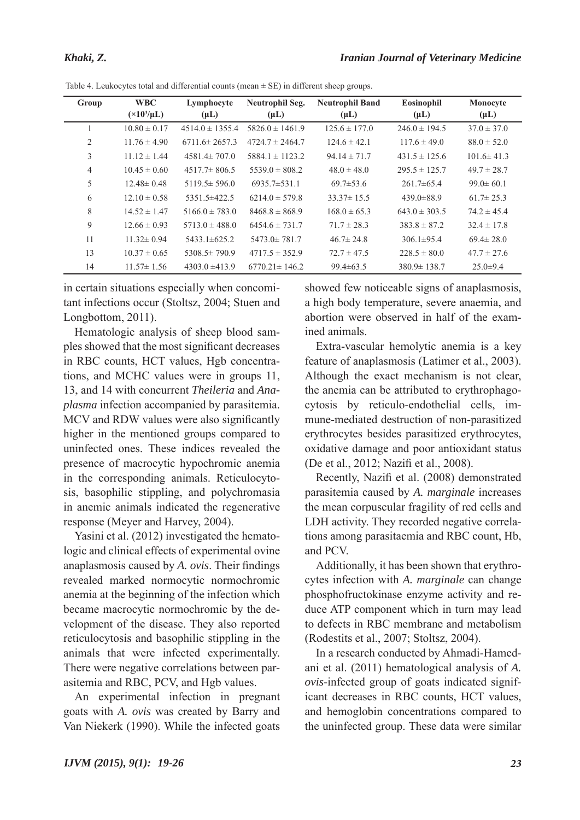| Group          | <b>WBC</b>            | Lymphocyte          | Neutrophil Seg.     | <b>Neutrophil Band</b> | Eosinophil        | Monocyte         |
|----------------|-----------------------|---------------------|---------------------|------------------------|-------------------|------------------|
|                | $(\times 10^3/\mu L)$ | $(\mu L)$           | $(\mu L)$           | $(\mu L)$              | $(\mu L)$         | $(\mu L)$        |
|                | $10.80 \pm 0.17$      | $4514.0 \pm 1355.4$ | $5826.0 \pm 1461.9$ | $125.6 \pm 177.0$      | $246.0 \pm 194.5$ | $37.0 \pm 37.0$  |
| $\overline{2}$ | $11.76 \pm 4.90$      | $6711.6 \pm 2657.3$ | $4724.7 \pm 2464.7$ | $124.6 \pm 42.1$       | $117.6 \pm 49.0$  | $88.0 \pm 52.0$  |
| 3              | $11.12 \pm 1.44$      | $4581.4 \pm 707.0$  | $5884.1 \pm 1123.2$ | $94.14 \pm 71.7$       | $431.5 \pm 125.6$ | $101.6 \pm 41.3$ |
| 4              | $10.45 \pm 0.60$      | $4517.7 \pm 806.5$  | $5539.0 \pm 808.2$  | $48.0 \pm 48.0$        | $295.5 \pm 125.7$ | $49.7 \pm 28.7$  |
| 5              | $12.48 \pm 0.48$      | $5119.5 \pm 596.0$  | $6935.7 \pm 531.1$  | $69.7 \pm 53.6$        | $261.7\pm 65.4$   | $99.0 \pm 60.1$  |
| 6              | $12.10 \pm 0.58$      | $5351.5 \pm 422.5$  | $6214.0 \pm 579.8$  | $33.37 \pm 15.5$       | $439.0 \pm 88.9$  | $61.7 \pm 25.3$  |
| 8              | $14.52 \pm 1.47$      | $5166.0 \pm 783.0$  | $8468.8 \pm 868.9$  | $168.0 \pm 65.3$       | $643.0 \pm 303.5$ | $74.2 \pm 45.4$  |
| 9              | $12.66 \pm 0.93$      | $5713.0 \pm 488.0$  | $6454.6 \pm 731.7$  | $71.7 \pm 28.3$        | $383.8 \pm 87.2$  | $32.4 \pm 17.8$  |
| 11             | $11.32 \pm 0.94$      | $5433.1 \pm 625.2$  | $5473.0 \pm 781.7$  | $46.7 \pm 24.8$        | $306.1 \pm 95.4$  | $69.4 \pm 28.0$  |
| 13             | $10.37 \pm 0.65$      | $5308.5 \pm 790.9$  | $4717.5 \pm 352.9$  | $72.7 \pm 47.5$        | $228.5 \pm 80.0$  | $47.7 \pm 27.6$  |
| 14             | $11.57 \pm 1.56$      | $4303.0 \pm 413.9$  | $6770.21 \pm 146.2$ | $99.4 \pm 63.5$        | $380.9 \pm 138.7$ | $25.0 \pm 9.4$   |

Table 4. Leukocytes total and differential counts (mean  $\pm$  SE) in different sheep groups.

in certain situations especially when concomitant infections occur (Stoltsz, 2004; Stuen and Longbottom, 2011).

Hematologic analysis of sheep blood samples showed that the most significant decreases in RBC counts, HCT values, Hgb concentrations, and MCHC values were in groups 11, 13, and 14 with concurrent *Theileria* and *Anaplasma* infection accompanied by parasitemia. MCV and RDW values were also significantly higher in the mentioned groups compared to uninfected ones. These indices revealed the presence of macrocytic hypochromic anemia in the corresponding animals. Reticulocytosis, basophilic stippling, and polychromasia in anemic animals indicated the regenerative response (Meyer and Harvey, 2004).

Yasini et al. (2012) investigated the hematologic and clinical effects of experimental ovine anaplasmosis caused by *A. ovis*. Their findings revealed marked normocytic normochromic anemia at the beginning of the infection which became macrocytic normochromic by the development of the disease. They also reported reticulocytosis and basophilic stippling in the animals that were infected experimentally. There were negative correlations between parasitemia and RBC, PCV, and Hgb values.

An experimental infection in pregnant goats with *A. ovis* was created by Barry and Van Niekerk (1990). While the infected goats

showed few noticeable signs of anaplasmosis, a high body temperature, severe anaemia, and abortion were observed in half of the examined animals.

Extra-vascular hemolytic anemia is a key feature of anaplasmosis (Latimer et al., 2003). Although the exact mechanism is not clear, the anemia can be attributed to erythrophagocytosis by reticulo-endothelial cells, immune-mediated destruction of non-parasitized erythrocytes besides parasitized erythrocytes, oxidative damage and poor antioxidant status (De et al., 2012; Nazifi et al., 2008).

Recently, Nazifi et al. (2008) demonstrated parasitemia caused by *A. marginale* increases the mean corpuscular fragility of red cells and LDH activity. They recorded negative correlations among parasitaemia and RBC count, Hb, and PCV.

Additionally, it has been shown that erythrocytes infection with *A. marginale* can change phosphofructokinase enzyme activity and reduce ATP component which in turn may lead to defects in RBC membrane and metabolism (Rodestits et al., 2007; Stoltsz, 2004).

In a research conducted by Ahmadi-Hamedani et al. (2011) hematological analysis of *A. ovis*-infected group of goats indicated significant decreases in RBC counts, HCT values, and hemoglobin concentrations compared to the uninfected group. These data were similar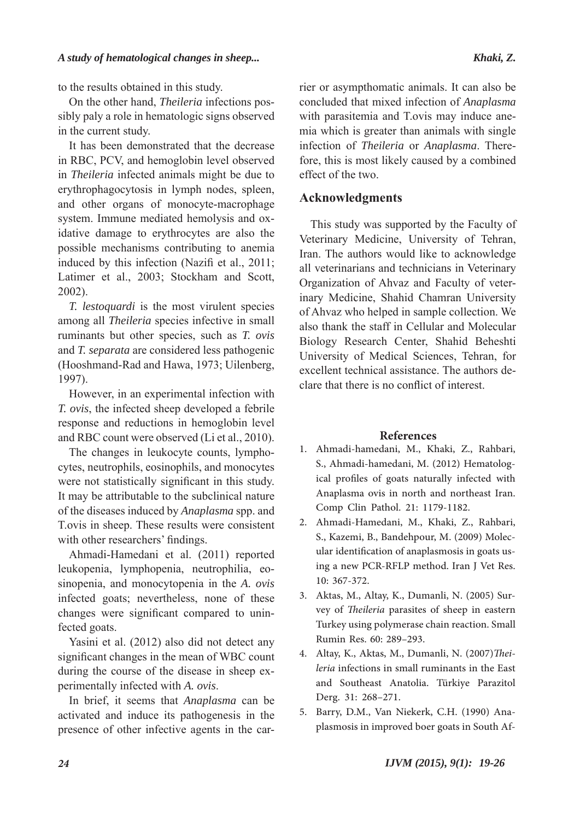to the results obtained in this study.

On the other hand, *Theileria* infections possibly paly a role in hematologic signs observed in the current study.

It has been demonstrated that the decrease in RBC, PCV, and hemoglobin level observed in *Theileria* infected animals might be due to erythrophagocytosis in lymph nodes, spleen, and other organs of monocyte-macrophage system. Immune mediated hemolysis and oxidative damage to erythrocytes are also the possible mechanisms contributing to anemia induced by this infection (Nazifi et al., 2011; Latimer et al., 2003; Stockham and Scott, 2002).

*T. lestoquardi* is the most virulent species among all *Theileria* species infective in small ruminants but other species, such as *T. ovis*  and *T. separata* are considered less pathogenic (Hooshmand-Rad and Hawa, 1973; Uilenberg, 1997).

However, in an experimental infection with *T. ovis*, the infected sheep developed a febrile response and reductions in hemoglobin level and RBC count were observed (Li et al., 2010).

The changes in leukocyte counts, lymphocytes, neutrophils, eosinophils, and monocytes were not statistically significant in this study. It may be attributable to the subclinical nature of the diseases induced by *Anaplasma* spp. and T.ovis in sheep. These results were consistent with other researchers' findings.

Ahmadi-Hamedani et al. (2011) reported leukopenia, lymphopenia, neutrophilia, eosinopenia, and monocytopenia in the *A. ovis* infected goats; nevertheless, none of these changes were significant compared to uninfected goats.

Yasini et al. (2012) also did not detect any significant changes in the mean of WBC count during the course of the disease in sheep experimentally infected with *A. ovis*.

In brief, it seems that *Anaplasma* can be activated and induce its pathogenesis in the presence of other infective agents in the carrier or asympthomatic animals. It can also be concluded that mixed infection of *Anaplasma* with parasitemia and T.ovis may induce anemia which is greater than animals with single infection of *Theileria* or *Anaplasma*. Therefore, this is most likely caused by a combined effect of the two.

# **Acknowledgments**

This study was supported by the Faculty of Veterinary Medicine, University of Tehran, Iran. The authors would like to acknowledge all veterinarians and technicians in Veterinary Organization of Ahvaz and Faculty of veterinary Medicine, Shahid Chamran University of Ahvaz who helped in sample collection. We also thank the staff in Cellular and Molecular Biology Research Center, Shahid Beheshti University of Medical Sciences, Tehran, for excellent technical assistance. The authors declare that there is no conflict of interest.

### **References**

- Ahmadi-hamedani, M., Khaki, Z., Rahbari, 1. S., Ahmadi-hamedani, M. (2012) Hematological profiles of goats naturally infected with Anaplasma ovis in north and northeast Iran. Comp Clin Pathol. 21: 1179-1182.
- Ahmadi-Hamedani, M., Khaki, Z., Rahbari, 2. S., Kazemi, B., Bandehpour, M. (2009) Molecular identification of anaplasmosis in goats using a new PCR-RFLP method. Iran J Vet Res. 10: 367-372.
- Aktas, M., Altay, K., Dumanli, N. (2005) Sur-3. vey of *Theileria* parasites of sheep in eastern Turkey using polymerase chain reaction. Small Rumin Res. 60: 289–293.
- Altay, K., Aktas, M., Dumanli, N. (2007)*Thei-*4. *leria* infections in small ruminants in the East and Southeast Anatolia. Türkiye Parazitol Derg. 31: 268–271.
- Barry, D.M., Van Niekerk, C.H. (1990) Ana-5. plasmosis in improved boer goats in South Af-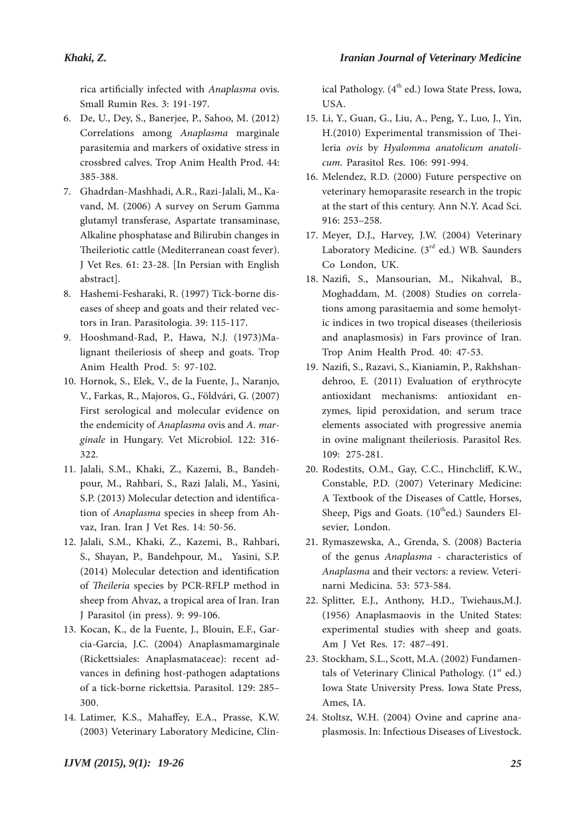rica artificially infected with *Anaplasma* ovis. Small Rumin Res. 3: 191-197.

- De, U., Dey, S., Banerjee, P., Sahoo, M. (2012) 6. Correlations among *Anaplasma* marginale parasitemia and markers of oxidative stress in crossbred calves. Trop Anim Health Prod. 44: 385-388.
- Ghadrdan-Mashhadi, A.R., Razi-Jalali, M., Ka-7. vand, M. (2006) A survey on Serum Gamma glutamyl transferase, Aspartate transaminase, Alkaline phosphatase and Bilirubin changes in Theileriotic cattle (Mediterranean coast fever). J Vet Res. 61: 23-28. [In Persian with English abstract].
- Hashemi-Fesharaki, R. (1997) Tick-borne dis-8. eases of sheep and goats and their related vectors in Iran. Parasitologia. 39: 115-117.
- Hooshmand-Rad, P., Hawa, N.J. (1973)Ma-9. lignant theileriosis of sheep and goats. Trop Anim Health Prod. 5: 97-102.
- 10. Hornok, S., Elek, V., de la Fuente, J., Naranjo, V., Farkas, R., Majoros, G., Földvári, G. (2007) First serological and molecular evidence on the endemicity of *Anaplasma* ovis and *A. marginale* in Hungary. Vet Microbiol. 122: 316- 322.
- 11. Jalali, S.M., Khaki, Z., Kazemi, B., Bandehpour, M., Rahbari, S., Razi Jalali, M., Yasini, S.P. (2013) Molecular detection and identification of *Anaplasma* species in sheep from Ahvaz, Iran. Iran J Vet Res. 14: 50-56.
- 12. Jalali, S.M., Khaki, Z., Kazemi, B., Rahbari, S., Shayan, P., Bandehpour, M., Yasini, S.P. (2014) Molecular detection and identification of *Theileria* species by PCR-RFLP method in sheep from Ahvaz, a tropical area of Iran. Iran J Parasitol (in press). 9: 99-106.
- 13. Kocan, K., de la Fuente, J., Blouin, E.F., Garcia-Garcia, J.C. (2004) Anaplasmamarginale (Rickettsiales: Anaplasmataceae): recent advances in defining host-pathogen adaptations of a tick-borne rickettsia. Parasitol. 129: 285– 300.
- 14. Latimer, K.S., Mahaffey, E.A., Prasse, K.W. (2003) Veterinary Laboratory Medicine, Clin-

ical Pathology.  $(4<sup>th</sup>$  ed.) Iowa State Press, Iowa, USA.

- Li, Y., Guan, G., Liu, A., Peng, Y., Luo, J., Yin, 15. H.(2010) Experimental transmission of Theileria *ovis* by *Hyalomma anatolicum anatolicum*. Parasitol Res. 106: 991-994.
- 16. Melendez, R.D. (2000) Future perspective on veterinary hemoparasite research in the tropic at the start of this century. Ann N.Y. Acad Sci. 916: 253–258.
- 17. Meyer, D.J., Harvey, J.W. (2004) Veterinary Laboratory Medicine.  $(3<sup>rd</sup>$  ed.) WB. Saunders Co London, UK.
- Nazifi, S., Mansourian, M., Nikahval, B., 18. Moghaddam, M. (2008) Studies on correlations among parasitaemia and some hemolytic indices in two tropical diseases (theileriosis and anaplasmosis) in Fars province of Iran. Trop Anim Health Prod. 40: 47-53.
- Nazifi, S., Razavi, S., Kianiamin, P., Rakhshan-19. dehroo, E. (2011) Evaluation of erythrocyte antioxidant mechanisms: antioxidant enzymes, lipid peroxidation, and serum trace elements associated with progressive anemia in ovine malignant theileriosis. Parasitol Res. 109: 275-281.
- 20. Rodestits, O.M., Gay, C.C., Hinchcliff, K.W., Constable, P.D. (2007) Veterinary Medicine: A Textbook of the Diseases of Cattle, Horses, Sheep, Pigs and Goats.  $(10^{th}$ ed.) Saunders Elsevier, London.
- 21. Rymaszewska, A., Grenda, S. (2008) Bacteria of the genus *Anaplasma* - characteristics of *Anaplasma* and their vectors: a review. Veterinarni Medicina. 53: 573-584.
- 22. Splitter, E.J., Anthony, H.D., Twiehaus, M.J. (1956) Anaplasmaovis in the United States: experimental studies with sheep and goats. Am J Vet Res. 17: 487–491.
- 23. Stockham, S.L., Scott, M.A. (2002) Fundamentals of Veterinary Clinical Pathology.  $(1<sup>st</sup> ed.)$ Iowa State University Press. Iowa State Press, Ames, IA.
- 24. Stoltsz, W.H. (2004) Ovine and caprine anaplasmosis. In: Infectious Diseases of Livestock.